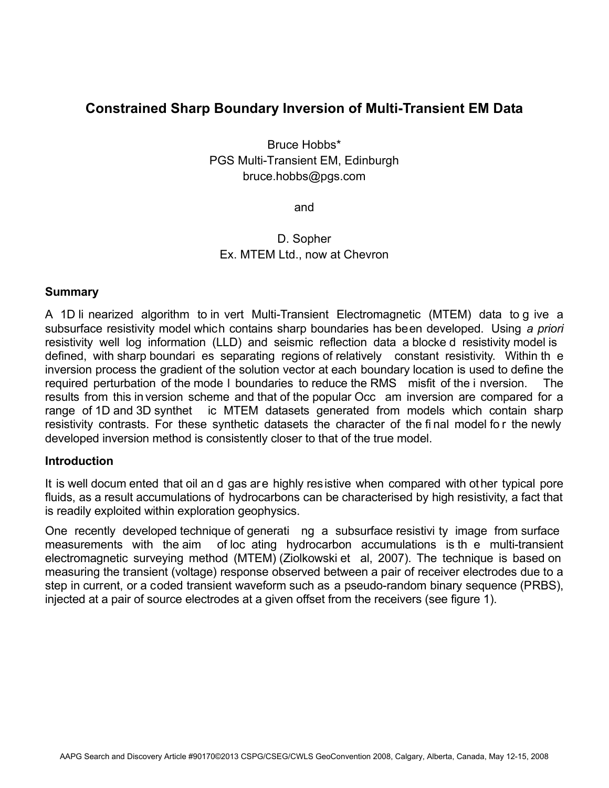# **Constrained Sharp Boundary Inversion of Multi-Transient EM Data**

Bruce Hobbs\* PGS Multi-Transient EM, Edinburgh bruce.hobbs@pgs.com

and

## D. Sopher Ex. MTEM Ltd., now at Chevron

### **Summary**

A 1D li nearized algorithm to in vert Multi-Transient Electromagnetic (MTEM) data to g ive a subsurface resistivity model which contains sharp boundaries has been developed. Using *a priori* resistivity well log information (LLD) and seismic reflection data a blocke d resistivity model is defined, with sharp boundari es separating regions of relatively constant resistivity. Within th e inversion process the gradient of the solution vector at each boundary location is used to define the required perturbation of the mode l boundaries to reduce the RMS misfit of the i nversion. The results from this in version scheme and that of the popular Occ am inversion are compared for a range of 1D and 3D synthet ic MTEM datasets generated from models which contain sharp resistivity contrasts. For these synthetic datasets the character of the final model for the newly developed inversion method is consistently closer to that of the true model.

### **Introduction**

It is well docum ented that oil an d gas are highly resistive when compared with other typical pore fluids, as a result accumulations of hydrocarbons can be characterised by high resistivity, a fact that is readily exploited within exploration geophysics.

One recently developed technique of generati ng a subsurface resistivi ty image from surface measurements with the aim of loc ating hydrocarbon accumulations is th e multi-transient electromagnetic surveying method (MTEM) (Ziolkowski et al, 2007). The technique is based on measuring the transient (voltage) response observed between a pair of receiver electrodes due to a step in current, or a coded transient waveform such as a pseudo-random binary sequence (PRBS), injected at a pair of source electrodes at a given offset from the receivers (see figure 1).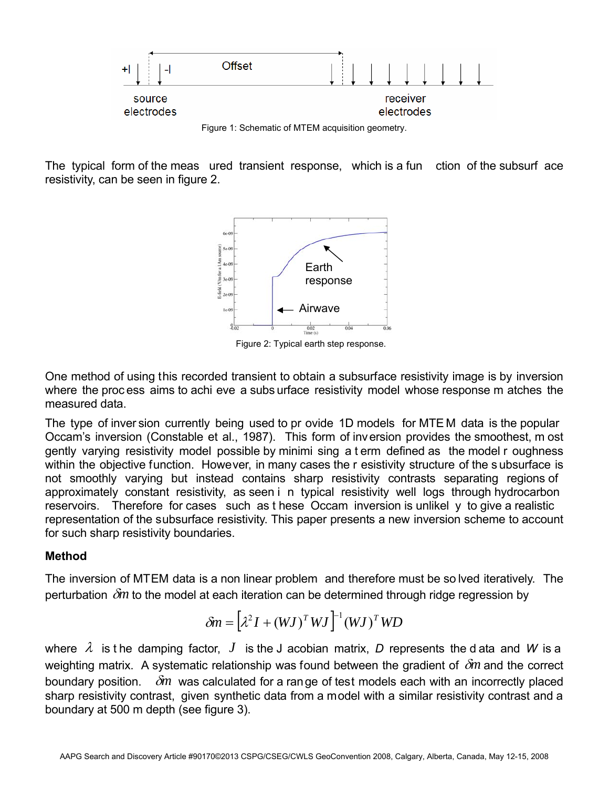

The typical form of the meas ured transient response, which is a fun ction of the subsurf ace resistivity, can be seen in figure 2.



Figure 2: Typical earth step response.

One method of using this recorded transient to obtain a subsurface resistivity image is by inversion where the proc ess aims to achi eve a subs urface resistivity model whose response m atches the measured data.

The type of inver sion currently being used to pr ovide 1D models for MTE M data is the popular Occam's inversion (Constable et al., 1987). This form of inversion provides the smoothest, m ost gently varying resistivity model possible by minimi sing a t erm defined as the model r oughness within the objective function. However, in many cases the r esistivity structure of the s ubsurface is not smoothly varying but instead contains sharp resistivity contrasts separating regions of approximately constant resistivity, as seen i n typical resistivity well logs through hydrocarbon reservoirs. Therefore for cases such as t hese Occam inversion is unlikel y to give a realistic representation of the subsurface resistivity. This paper presents a new inversion scheme to account for such sharp resistivity boundaries.

## **Method**

The inversion of MTEM data is a non linear problem and therefore must be so lved iteratively. The perturbation δ*m* to the model at each iteration can be determined through ridge regression by

$$
\delta m = \left[\lambda^2 I + (WJ)^T WJ\right]^{-1} (WJ)^T W D
$$

where  $\lambda$  is the damping factor,  $J$  is the J acobian matrix, D represents the d ata and W is a weighting matrix. A systematic relationship was found between the gradient of δ*m* and the correct boundary position. δ*m* was calculated for a range of test models each with an incorrectly placed sharp resistivity contrast, given synthetic data from a model with a similar resistivity contrast and a boundary at 500 m depth (see figure 3).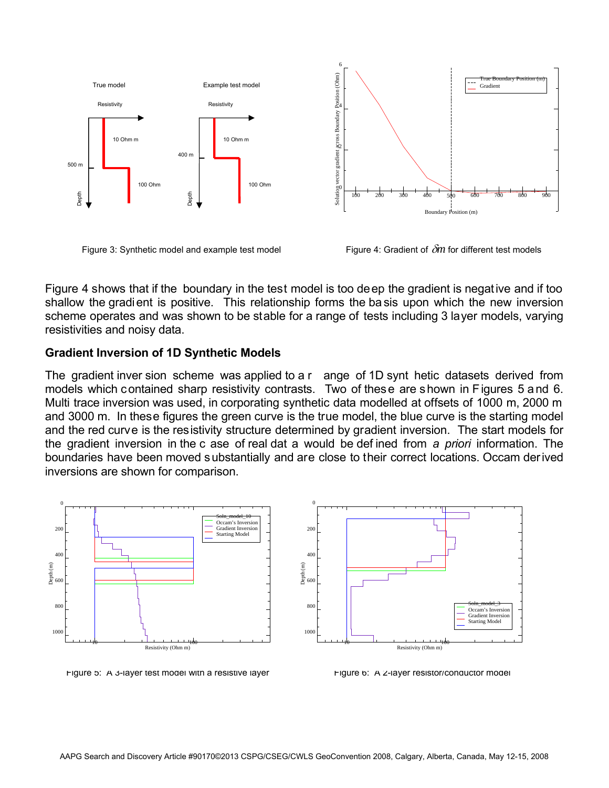

Figure 3: Synthetic model and example test model Figure 4: Gradient of δ*m* for different test models

Figure 4 shows that if the boundary in the test model is too deep the gradient is negative and if too shallow the gradient is positive. This relationship forms the ba sis upon which the new inversion scheme operates and was shown to be stable for a range of tests including 3 layer models, varying resistivities and noisy data.

### **Gradient Inversion of 1D Synthetic Models**

The gradient inver sion scheme was applied to a r ange of 1D synt hetic datasets derived from models which contained sharp resistivity contrasts. Two of these are shown in Figures 5 and 6. Multi trace inversion was used, in corporating synthetic data modelled at offsets of 1000 m, 2000 m and 3000 m. In these figures the green curve is the true model, the blue curve is the starting model and the red curve is the resistivity structure determined by gradient inversion. The start models for the gradient inversion in the c ase of real dat a would be def ined from *a priori* information. The boundaries have been moved substantially and are close to their correct locations. Occam derived inversions are shown for comparison.



Figure 5: A 3-layer test model with a resistive layer Figure 6: A 2-layer resistor/conductor model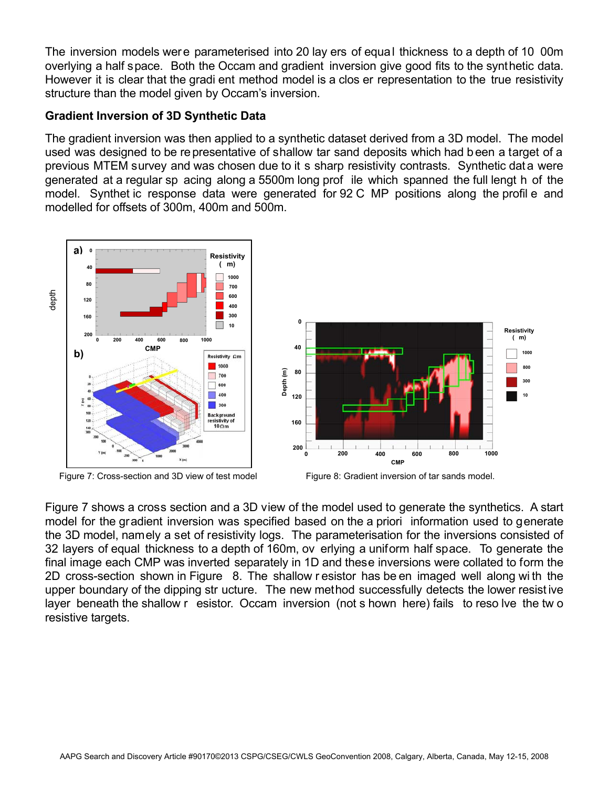The inversion models were parameterised into 20 lay ers of equal thickness to a depth of 10 00m overlying a half space. Both the Occam and gradient inversion give good fits to the synthetic data. However it is clear that the gradi ent method model is a clos er representation to the true resistivity structure than the model given by Occam's inversion.

## **Gradient Inversion of 3D Synthetic Data**

The gradient inversion was then applied to a synthetic dataset derived from a 3D model. The model used was designed to be representative of shallow tar sand deposits which had been a target of a previous MTEM survey and was chosen due to it s sharp resistivity contrasts. Synthetic data were generated at a regular sp acing along a 5500m long prof ile which spanned the full lengt h of the model. Synthet ic response data were generated for 92 C MP positions along the profil e and modelled for offsets of 300m, 400m and 500m.



Figure 7: Cross-section and 3D view of test model Figure 8: Gradient inversion of tar sands model.



Figure 7 shows a cross section and a 3D view of the model used to generate the synthetics. A start model for the gradient inversion was specified based on the a priori information used to generate the 3D model, namely a set of resistivity logs. The parameterisation for the inversions consisted of 32 layers of equal thickness to a depth of 160m, ov erlying a uniform half space. To generate the final image each CMP was inverted separately in 1D and these inversions were collated to form the 2D cross-section shown in Figure 8. The shallow r esistor has be en imaged well along wi th the upper boundary of the dipping str ucture. The new method successfully detects the lower resist ive layer beneath the shallow r esistor. Occam inversion (not s hown here) fails to reso lve the tw o resistive targets.